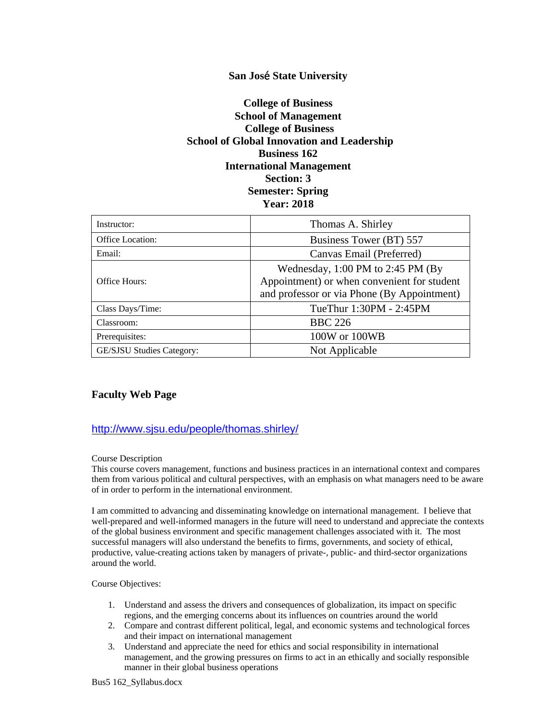# **San Jos**é **State University**

# **College of Business School of Management College of Business School of Global Innovation and Leadership Business 162 International Management Section: 3 Semester: Spring Year: 2018**

| Instructor:               | Thomas A. Shirley                                                                                                                 |  |
|---------------------------|-----------------------------------------------------------------------------------------------------------------------------------|--|
| <b>Office Location:</b>   | Business Tower (BT) 557                                                                                                           |  |
| Email:                    | Canvas Email (Preferred)                                                                                                          |  |
| Office Hours:             | Wednesday, $1:00$ PM to 2:45 PM (By<br>Appointment) or when convenient for student<br>and professor or via Phone (By Appointment) |  |
| Class Days/Time:          | TueThur 1:30PM - 2:45PM                                                                                                           |  |
| Classroom:                | <b>BBC 226</b>                                                                                                                    |  |
| Prerequisites:            | 100W or 100WB                                                                                                                     |  |
| GE/SJSU Studies Category: | Not Applicable                                                                                                                    |  |

## **Faculty Web Page**

## <http://www.sjsu.edu/people/thomas.shirley/>

### Course Description

This course covers management, functions and business practices in an international context and compares them from various political and cultural perspectives, with an emphasis on what managers need to be aware of in order to perform in the international environment.

I am committed to advancing and disseminating knowledge on international management. I believe that well-prepared and well-informed managers in the future will need to understand and appreciate the contexts of the global business environment and specific management challenges associated with it. The most successful managers will also understand the benefits to firms, governments, and society of ethical, productive, value-creating actions taken by managers of private-, public- and third-sector organizations around the world.

### Course Objectives:

- 1. Understand and assess the drivers and consequences of globalization, its impact on specific regions, and the emerging concerns about its influences on countries around the world
- 2. Compare and contrast different political, legal, and economic systems and technological forces and their impact on international management
- 3. Understand and appreciate the need for ethics and social responsibility in international management, and the growing pressures on firms to act in an ethically and socially responsible manner in their global business operations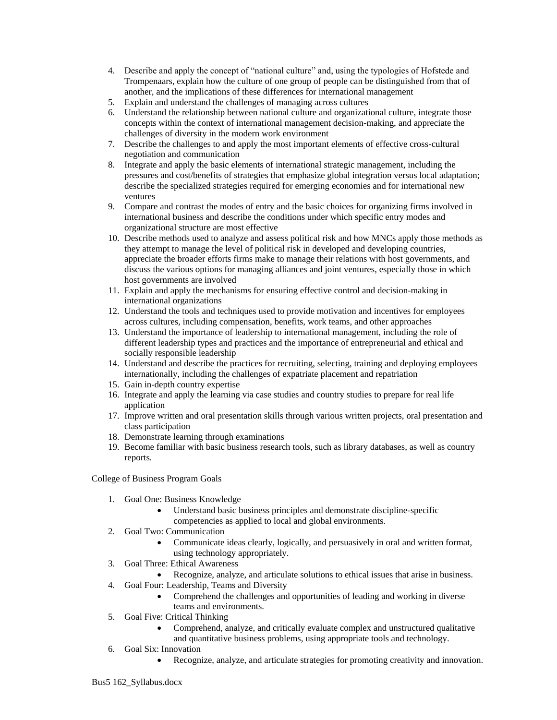- 4. Describe and apply the concept of "national culture" and, using the typologies of Hofstede and Trompenaars, explain how the culture of one group of people can be distinguished from that of another, and the implications of these differences for international management
- 5. Explain and understand the challenges of managing across cultures
- 6. Understand the relationship between national culture and organizational culture, integrate those concepts within the context of international management decision-making, and appreciate the challenges of diversity in the modern work environment
- 7. Describe the challenges to and apply the most important elements of effective cross-cultural negotiation and communication
- 8. Integrate and apply the basic elements of international strategic management, including the pressures and cost/benefits of strategies that emphasize global integration versus local adaptation; describe the specialized strategies required for emerging economies and for international new ventures
- 9. Compare and contrast the modes of entry and the basic choices for organizing firms involved in international business and describe the conditions under which specific entry modes and organizational structure are most effective
- 10. Describe methods used to analyze and assess political risk and how MNCs apply those methods as they attempt to manage the level of political risk in developed and developing countries, appreciate the broader efforts firms make to manage their relations with host governments, and discuss the various options for managing alliances and joint ventures, especially those in which host governments are involved
- 11. Explain and apply the mechanisms for ensuring effective control and decision-making in international organizations
- 12. Understand the tools and techniques used to provide motivation and incentives for employees across cultures, including compensation, benefits, work teams, and other approaches
- 13. Understand the importance of leadership to international management, including the role of different leadership types and practices and the importance of entrepreneurial and ethical and socially responsible leadership
- 14. Understand and describe the practices for recruiting, selecting, training and deploying employees internationally, including the challenges of expatriate placement and repatriation
- 15. Gain in-depth country expertise
- 16. Integrate and apply the learning via case studies and country studies to prepare for real life application
- 17. Improve written and oral presentation skills through various written projects, oral presentation and class participation
- 18. Demonstrate learning through examinations
- 19. Become familiar with basic business research tools, such as library databases, as well as country reports.

College of Business Program Goals

- 1. Goal One: Business Knowledge
	- Understand basic business principles and demonstrate discipline-specific
	- competencies as applied to local and global environments.
- 2. Goal Two: Communication
	- Communicate ideas clearly, logically, and persuasively in oral and written format, using technology appropriately.
- 3. Goal Three: Ethical Awareness
	- Recognize, analyze, and articulate solutions to ethical issues that arise in business.
- 4. Goal Four: Leadership, Teams and Diversity
	- Comprehend the challenges and opportunities of leading and working in diverse teams and environments.
- 5. Goal Five: Critical Thinking
	- Comprehend, analyze, and critically evaluate complex and unstructured qualitative and quantitative business problems, using appropriate tools and technology.
- 6. Goal Six: Innovation
	- Recognize, analyze, and articulate strategies for promoting creativity and innovation.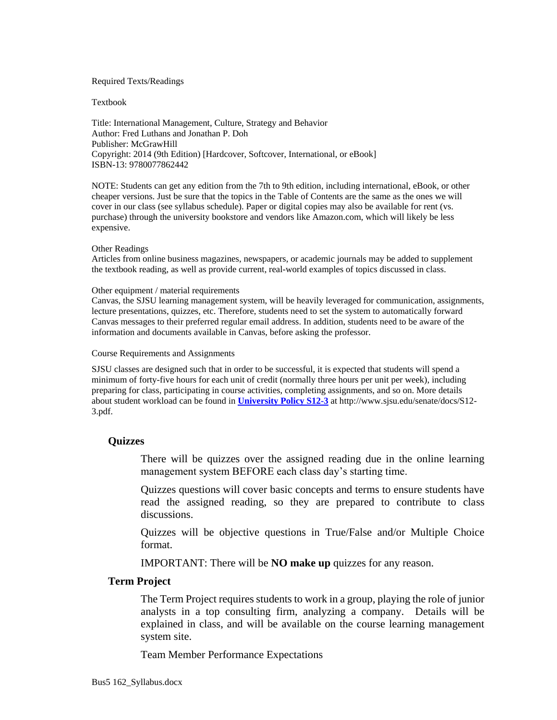### Required Texts/Readings

### Textbook

Title: International Management, Culture, Strategy and Behavior Author: Fred Luthans and Jonathan P. Doh Publisher: McGrawHill Copyright: 2014 (9th Edition) [Hardcover, Softcover, International, or eBook] ISBN-13: 9780077862442

NOTE: Students can get any edition from the 7th to 9th edition, including international, eBook, or other cheaper versions. Just be sure that the topics in the Table of Contents are the same as the ones we will cover in our class (see syllabus schedule). Paper or digital copies may also be available for rent (vs. purchase) through the university bookstore and vendors like Amazon.com, which will likely be less expensive.

#### Other Readings

Articles from online business magazines, newspapers, or academic journals may be added to supplement the textbook reading, as well as provide current, real-world examples of topics discussed in class.

### Other equipment / material requirements

Canvas, the SJSU learning management system, will be heavily leveraged for communication, assignments, lecture presentations, quizzes, etc. Therefore, students need to set the system to automatically forward Canvas messages to their preferred regular email address. In addition, students need to be aware of the information and documents available in Canvas, before asking the professor.

### Course Requirements and Assignments

SJSU classes are designed such that in order to be successful, it is expected that students will spend a minimum of forty-five hours for each unit of credit (normally three hours per unit per week), including preparing for class, participating in course activities, completing assignments, and so on. More details about student workload can be found in **[University Policy S12-3](http://www.sjsu.edu/senate/docs/S12-3.pdf)** at http://www.sjsu.edu/senate/docs/S12- 3.pdf.

## **Quizzes**

There will be quizzes over the assigned reading due in the online learning management system BEFORE each class day's starting time.

Quizzes questions will cover basic concepts and terms to ensure students have read the assigned reading, so they are prepared to contribute to class discussions.

Quizzes will be objective questions in True/False and/or Multiple Choice format.

IMPORTANT: There will be **NO make up** quizzes for any reason.

## **Term Project**

The Term Project requires students to work in a group, playing the role of junior analysts in a top consulting firm, analyzing a company. Details will be explained in class, and will be available on the course learning management system site.

Team Member Performance Expectations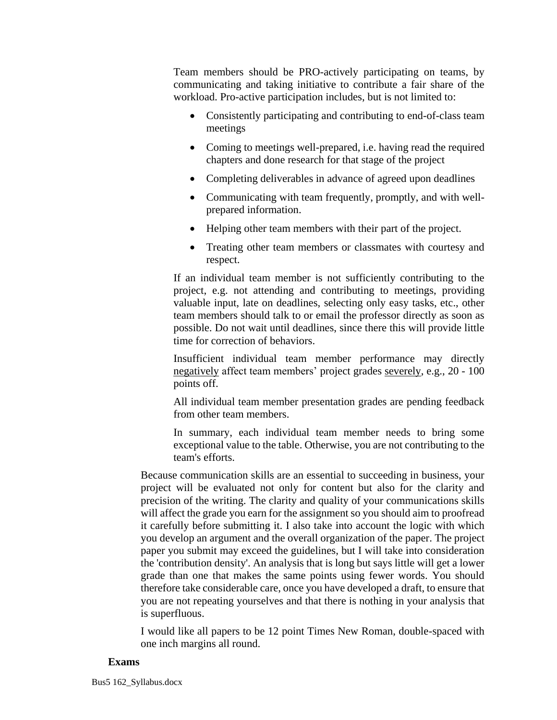Team members should be PRO-actively participating on teams, by communicating and taking initiative to contribute a fair share of the workload. Pro-active participation includes, but is not limited to:

- Consistently participating and contributing to end-of-class team meetings
- Coming to meetings well-prepared, i.e. having read the required chapters and done research for that stage of the project
- Completing deliverables in advance of agreed upon deadlines
- Communicating with team frequently, promptly, and with wellprepared information.
- Helping other team members with their part of the project.
- Treating other team members or classmates with courtesy and respect.

If an individual team member is not sufficiently contributing to the project, e.g. not attending and contributing to meetings, providing valuable input, late on deadlines, selecting only easy tasks, etc., other team members should talk to or email the professor directly as soon as possible. Do not wait until deadlines, since there this will provide little time for correction of behaviors.

Insufficient individual team member performance may directly negatively affect team members' project grades severely, e.g., 20 - 100 points off.

All individual team member presentation grades are pending feedback from other team members.

In summary, each individual team member needs to bring some exceptional value to the table. Otherwise, you are not contributing to the team's efforts.

Because communication skills are an essential to succeeding in business, your project will be evaluated not only for content but also for the clarity and precision of the writing. The clarity and quality of your communications skills will affect the grade you earn for the assignment so you should aim to proofread it carefully before submitting it. I also take into account the logic with which you develop an argument and the overall organization of the paper. The project paper you submit may exceed the guidelines, but I will take into consideration the 'contribution density'. An analysis that is long but says little will get a lower grade than one that makes the same points using fewer words. You should therefore take considerable care, once you have developed a draft, to ensure that you are not repeating yourselves and that there is nothing in your analysis that is superfluous.

I would like all papers to be 12 point Times New Roman, double-spaced with one inch margins all round.

## **Exams**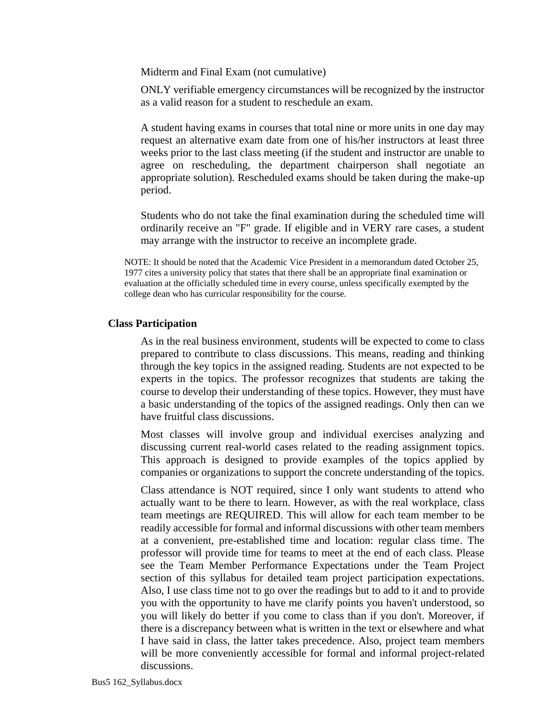Midterm and Final Exam (not cumulative)

ONLY verifiable emergency circumstances will be recognized by the instructor as a valid reason for a student to reschedule an exam.

A student having exams in courses that total nine or more units in one day may request an alternative exam date from one of his/her instructors at least three weeks prior to the last class meeting (if the student and instructor are unable to agree on rescheduling, the department chairperson shall negotiate an appropriate solution). Rescheduled exams should be taken during the make-up period.

Students who do not take the final examination during the scheduled time will ordinarily receive an "F" grade. If eligible and in VERY rare cases, a student may arrange with the instructor to receive an incomplete grade.

NOTE: It should be noted that the Academic Vice President in a memorandum dated October 25, 1977 cites a university policy that states that there shall be an appropriate final examination or evaluation at the officially scheduled time in every course, unless specifically exempted by the college dean who has curricular responsibility for the course.

# **Class Participation**

As in the real business environment, students will be expected to come to class prepared to contribute to class discussions. This means, reading and thinking through the key topics in the assigned reading. Students are not expected to be experts in the topics. The professor recognizes that students are taking the course to develop their understanding of these topics. However, they must have a basic understanding of the topics of the assigned readings. Only then can we have fruitful class discussions.

Most classes will involve group and individual exercises analyzing and discussing current real-world cases related to the reading assignment topics. This approach is designed to provide examples of the topics applied by companies or organizations to support the concrete understanding of the topics.

Class attendance is NOT required, since I only want students to attend who actually want to be there to learn. However, as with the real workplace, class team meetings are REQUIRED. This will allow for each team member to be readily accessible for formal and informal discussions with other team members at a convenient, pre-established time and location: regular class time. The professor will provide time for teams to meet at the end of each class. Please see the Team Member Performance Expectations under the Team Project section of this syllabus for detailed team project participation expectations. Also, I use class time not to go over the readings but to add to it and to provide you with the opportunity to have me clarify points you haven't understood, so you will likely do better if you come to class than if you don't. Moreover, if there is a discrepancy between what is written in the text or elsewhere and what I have said in class, the latter takes precedence. Also, project team members will be more conveniently accessible for formal and informal project-related discussions.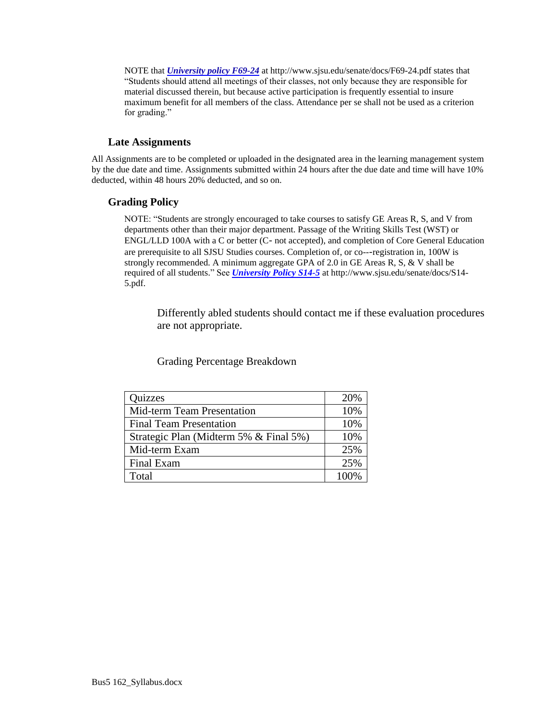NOTE that *[University policy F69-24](http://www.sjsu.edu/senate/docs/F69-24.pdf)* at http://www.sjsu.edu/senate/docs/F69-24.pdf states that "Students should attend all meetings of their classes, not only because they are responsible for material discussed therein, but because active participation is frequently essential to insure maximum benefit for all members of the class. Attendance per se shall not be used as a criterion for grading."

## **Late Assignments**

All Assignments are to be completed or uploaded in the designated area in the learning management system by the due date and time. Assignments submitted within 24 hours after the due date and time will have 10% deducted, within 48 hours 20% deducted, and so on.

# **Grading Policy**

NOTE: "Students are strongly encouraged to take courses to satisfy GE Areas R, S, and V from departments other than their major department. Passage of the Writing Skills Test (WST) or ENGL/LLD 100A with a C or better (C‐ not accepted), and completion of Core General Education are prerequisite to all SJSU Studies courses. Completion of, or co---registration in, 100W is strongly recommended. A minimum aggregate GPA of 2.0 in GE Areas R, S, & V shall be required of all students." See *[University Policy](http://www.sjsu.edu/senate/docs/S14-5.pdf) S14-5* at http://www.sjsu.edu/senate/docs/S14- 5.pdf.

Differently abled students should contact me if these evaluation procedures are not appropriate.

Grading Percentage Breakdown

| Quizzes                                | 20%     |
|----------------------------------------|---------|
| Mid-term Team Presentation             | 10%     |
| <b>Final Team Presentation</b>         | 10%     |
| Strategic Plan (Midterm 5% & Final 5%) | 10%     |
| Mid-term Exam                          | 25%     |
| Final Exam                             | 25%     |
| Total                                  | $100\%$ |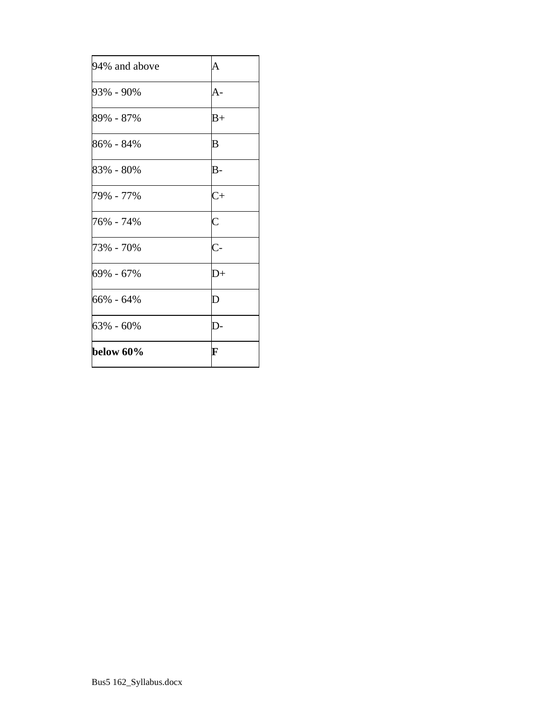| $66\% - 64\%$<br>63% - 60% | D<br>D-            |
|----------------------------|--------------------|
| 69% - 67%                  | $\overline{D}+$    |
| 73% - 70%                  | $\overline{C}$ -   |
| 76% - 74%                  | $\overline{\rm C}$ |
| 79% - 77%                  | $C+$               |
| 83% - 80%                  | $B -$              |
| 86% - 84%                  | B                  |
| 89% - 87%                  | $B+$               |
| 93% - 90%                  | A-                 |
| 94% and above              | A                  |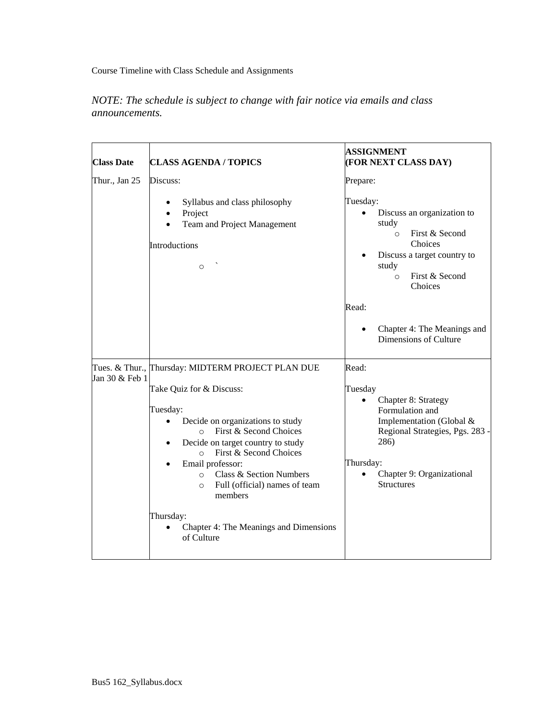Course Timeline with Class Schedule and Assignments

# *NOTE: The schedule is subject to change with fair notice via emails and class announcements.*

| <b>Class Date</b> | <b>CLASS AGENDA / TOPICS</b>                                                                                                                                                                                                                                                                                          | ASSIGNMENT<br>(FOR NEXT CLASS DAY)                                                                                                                                                                                |
|-------------------|-----------------------------------------------------------------------------------------------------------------------------------------------------------------------------------------------------------------------------------------------------------------------------------------------------------------------|-------------------------------------------------------------------------------------------------------------------------------------------------------------------------------------------------------------------|
| Thur., Jan 25     | Discuss:                                                                                                                                                                                                                                                                                                              | Prepare:                                                                                                                                                                                                          |
|                   | Syllabus and class philosophy<br>Project<br>$\bullet$<br>Team and Project Management<br>Introductions<br>$\circ$                                                                                                                                                                                                      | Tuesday:<br>Discuss an organization to<br>$\bullet$<br>study<br>First & Second<br>$\Omega$<br>Choices<br>Discuss a target country to<br>$\bullet$<br>study<br>First & Second<br>$\circ$<br>Choices                |
|                   |                                                                                                                                                                                                                                                                                                                       | Read:<br>Chapter 4: The Meanings and<br>$\bullet$<br>Dimensions of Culture                                                                                                                                        |
|                   | Tues. & Thur., Thursday: MIDTERM PROJECT PLAN DUE                                                                                                                                                                                                                                                                     | Read:                                                                                                                                                                                                             |
| Jan 30 & Feb 1    | Take Quiz for & Discuss:<br>Tuesday:<br>Decide on organizations to study<br>$\bullet$<br>First & Second Choices<br>$\Omega$<br>Decide on target country to study<br>First & Second Choices<br>$\Omega$<br>Email professor:<br><b>O</b> Class & Section Numbers<br>Full (official) names of team<br>$\circ$<br>members | Tuesday<br>Chapter 8: Strategy<br>$\bullet$<br>Formulation and<br>Implementation (Global &<br>Regional Strategies, Pgs. 283 -<br>286)<br>Thursday:<br>Chapter 9: Organizational<br>$\bullet$<br><b>Structures</b> |
|                   | Thursday:<br>Chapter 4: The Meanings and Dimensions<br>of Culture                                                                                                                                                                                                                                                     |                                                                                                                                                                                                                   |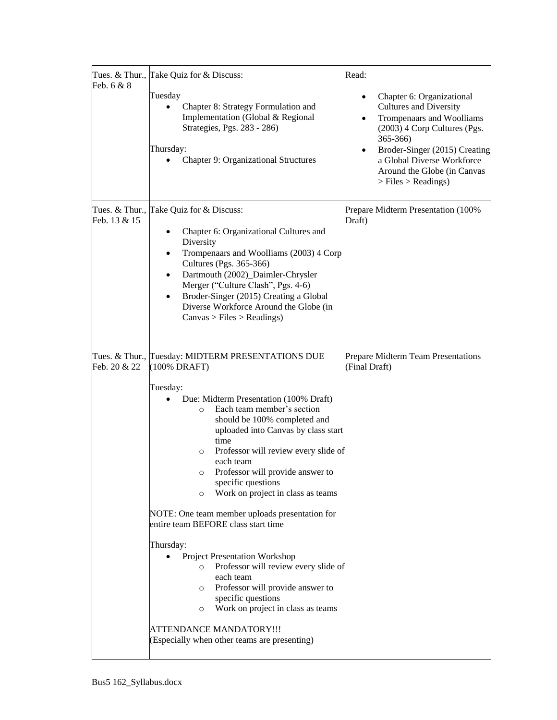| Feb. 6 & 8   | Tues. & Thur., Take Quiz for & Discuss:<br>Tuesday<br>Chapter 8: Strategy Formulation and<br>Implementation (Global & Regional<br>Strategies, Pgs. 283 - 286)<br>Thursday:<br>Chapter 9: Organizational Structures                                                                                                                                                                                                                                                                                                                                                                                                                                                                                                                                                                                                                                  | Read:<br>Chapter 6: Organizational<br>٠<br><b>Cultures and Diversity</b><br>Trompenaars and Woolliams<br>$\bullet$<br>(2003) 4 Corp Cultures (Pgs.<br>365-366)<br>Broder-Singer (2015) Creating<br>a Global Diverse Workforce<br>Around the Globe (in Canvas<br>> Files > Readings) |
|--------------|-----------------------------------------------------------------------------------------------------------------------------------------------------------------------------------------------------------------------------------------------------------------------------------------------------------------------------------------------------------------------------------------------------------------------------------------------------------------------------------------------------------------------------------------------------------------------------------------------------------------------------------------------------------------------------------------------------------------------------------------------------------------------------------------------------------------------------------------------------|-------------------------------------------------------------------------------------------------------------------------------------------------------------------------------------------------------------------------------------------------------------------------------------|
| Feb. 13 & 15 | Tues. & Thur., Take Quiz for & Discuss:<br>Chapter 6: Organizational Cultures and<br>٠<br>Diversity<br>Trompenaars and Woolliams (2003) 4 Corp<br>٠<br>Cultures (Pgs. 365-366)<br>Dartmouth (2002)_Daimler-Chrysler<br>٠<br>Merger ("Culture Clash", Pgs. 4-6)<br>Broder-Singer (2015) Creating a Global<br>Diverse Workforce Around the Globe (in<br>Canvas > Files > Readings)                                                                                                                                                                                                                                                                                                                                                                                                                                                                    | Prepare Midterm Presentation (100%<br>Draft)                                                                                                                                                                                                                                        |
| Feb. 20 & 22 | Tues. & Thur., Tuesday: MIDTERM PRESENTATIONS DUE<br>(100% DRAFT)<br>Tuesday:<br>Due: Midterm Presentation (100% Draft)<br>Each team member's section<br>$\circ$<br>should be 100% completed and<br>uploaded into Canvas by class start<br>time<br>Professor will review every slide of<br>$\circ$<br>each team<br>Professor will provide answer to<br>O<br>specific questions<br>Work on project in class as teams<br>$\circ$<br>NOTE: One team member uploads presentation for<br>entire team BEFORE class start time<br>Thursday:<br><b>Project Presentation Workshop</b><br>Professor will review every slide of<br>$\circ$<br>each team<br>Professor will provide answer to<br>$\circ$<br>specific questions<br>Work on project in class as teams<br>$\circ$<br><b>ATTENDANCE MANDATORY!!!</b><br>(Especially when other teams are presenting) | Prepare Midterm Team Presentations<br>(Final Draft)                                                                                                                                                                                                                                 |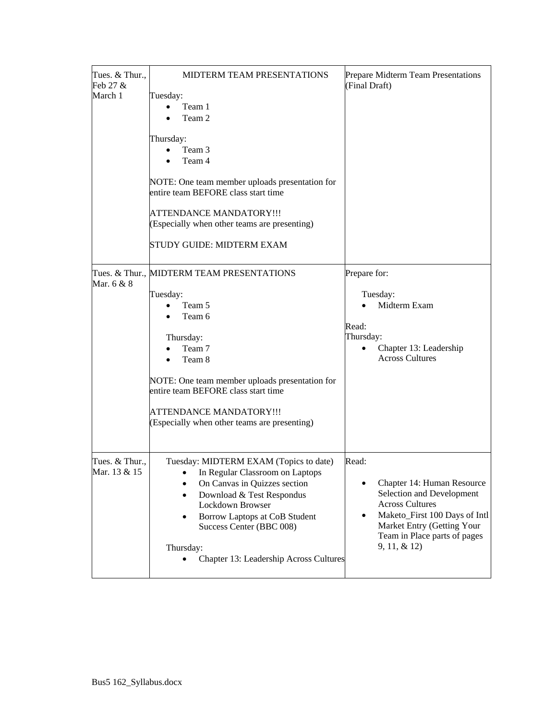| Tues. & Thur.,<br>Feb 27 &<br>March 1 | MIDTERM TEAM PRESENTATIONS<br>Tuesday:<br>Team 1<br>$\bullet$<br>Team 2<br>Thursday:<br>Team 3<br>Team 4<br>NOTE: One team member uploads presentation for<br>entire team BEFORE class start time<br><b>ATTENDANCE MANDATORY!!!</b><br>(Especially when other teams are presenting)<br>STUDY GUIDE: MIDTERM EXAM | Prepare Midterm Team Presentations<br>(Final Draft)                                                                                                                                                       |
|---------------------------------------|------------------------------------------------------------------------------------------------------------------------------------------------------------------------------------------------------------------------------------------------------------------------------------------------------------------|-----------------------------------------------------------------------------------------------------------------------------------------------------------------------------------------------------------|
| Mar. 6 & 8                            | Tues. & Thur., MIDTERM TEAM PRESENTATIONS<br>Tuesday:<br>Team 5<br>Team 6<br>Thursday:<br>Team 7<br>Team 8<br>NOTE: One team member uploads presentation for<br>entire team BEFORE class start time<br><b>ATTENDANCE MANDATORY!!!</b><br>(Especially when other teams are presenting)                            | Prepare for:<br>Tuesday:<br>Midterm Exam<br>Read:<br>Thursday:<br>Chapter 13: Leadership<br><b>Across Cultures</b>                                                                                        |
| Tues. & Thur.,<br>Mar. 13 & 15        | Tuesday: MIDTERM EXAM (Topics to date)<br>In Regular Classroom on Laptops<br>On Canvas in Quizzes section<br>$\bullet$<br>Download & Test Respondus<br>$\bullet$<br>Lockdown Browser<br>Borrow Laptops at CoB Student<br>٠<br>Success Center (BBC 008)<br>Thursday:<br>Chapter 13: Leadership Across Cultures    | Read:<br>Chapter 14: Human Resource<br>Selection and Development<br><b>Across Cultures</b><br>Maketo_First 100 Days of Intl<br>Market Entry (Getting Your<br>Team in Place parts of pages<br>9, 11, & 12) |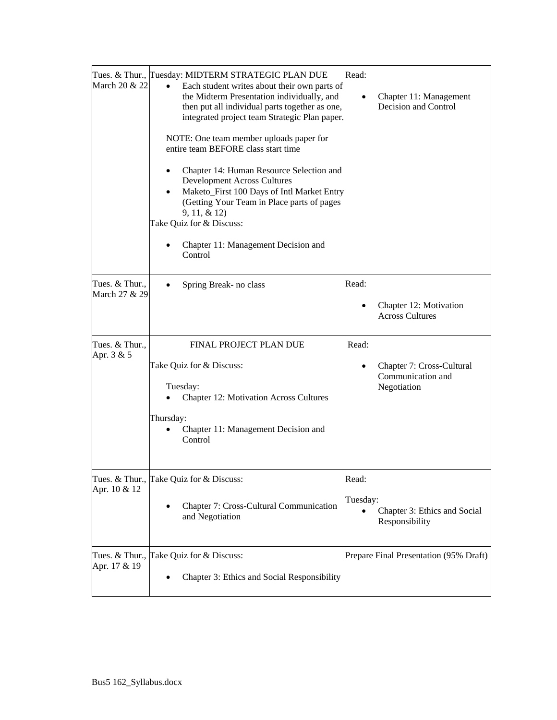| March 20 & 22                   | Tues. & Thur., Tuesday: MIDTERM STRATEGIC PLAN DUE<br>$\bullet$<br>Each student writes about their own parts of<br>the Midterm Presentation individually, and<br>then put all individual parts together as one,<br>integrated project team Strategic Plan paper.<br>NOTE: One team member uploads paper for<br>entire team BEFORE class start time<br>Chapter 14: Human Resource Selection and<br><b>Development Across Cultures</b><br>Maketo_First 100 Days of Intl Market Entry<br>(Getting Your Team in Place parts of pages<br>9, 11, & 12)<br>Take Quiz for & Discuss:<br>Chapter 11: Management Decision and<br>Control | Read:<br>Chapter 11: Management<br>Decision and Control                |
|---------------------------------|--------------------------------------------------------------------------------------------------------------------------------------------------------------------------------------------------------------------------------------------------------------------------------------------------------------------------------------------------------------------------------------------------------------------------------------------------------------------------------------------------------------------------------------------------------------------------------------------------------------------------------|------------------------------------------------------------------------|
| Tues. & Thur.,<br>March 27 & 29 | Spring Break- no class                                                                                                                                                                                                                                                                                                                                                                                                                                                                                                                                                                                                         | Read:<br>Chapter 12: Motivation<br><b>Across Cultures</b>              |
| Tues. & Thur.,<br>Apr. 3 & 5    | FINAL PROJECT PLAN DUE<br>Take Quiz for & Discuss:<br>Tuesday:<br><b>Chapter 12: Motivation Across Cultures</b><br>Thursday:<br>Chapter 11: Management Decision and<br>Control                                                                                                                                                                                                                                                                                                                                                                                                                                                 | Read:<br>Chapter 7: Cross-Cultural<br>Communication and<br>Negotiation |
| Apr. 10 & 12                    | Tues. & Thur., Take Quiz for & Discuss:<br>Chapter 7: Cross-Cultural Communication<br>and Negotiation                                                                                                                                                                                                                                                                                                                                                                                                                                                                                                                          | Read:<br>Tuesday:<br>Chapter 3: Ethics and Social<br>Responsibility    |
| Apr. 17 & 19                    | Tues. & Thur., Take Quiz for & Discuss:<br>Chapter 3: Ethics and Social Responsibility                                                                                                                                                                                                                                                                                                                                                                                                                                                                                                                                         | Prepare Final Presentation (95% Draft)                                 |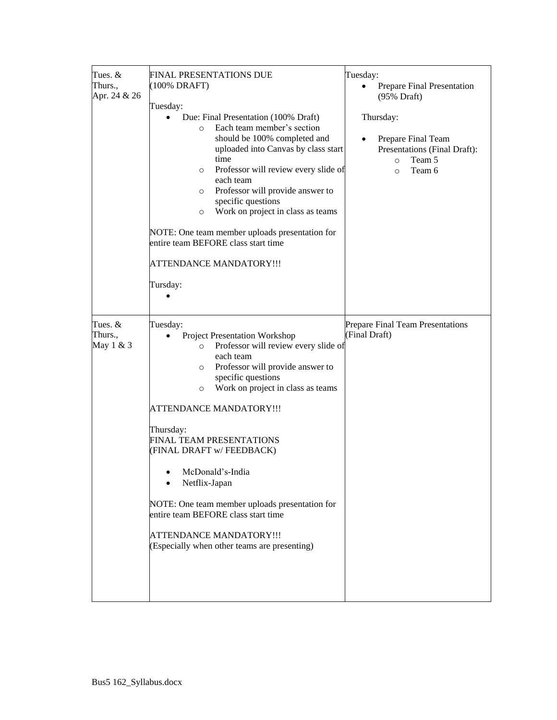| Tues. &<br>Thurs.,<br>Apr. 24 & 26 | FINAL PRESENTATIONS DUE<br>(100% DRAFT)<br>Tuesday:<br>Due: Final Presentation (100% Draft)<br>$\bullet$<br>Each team member's section<br>$\Omega$<br>should be 100% completed and<br>uploaded into Canvas by class start<br>time<br>Professor will review every slide of<br>$\circ$<br>each team<br>Professor will provide answer to<br>$\circ$<br>specific questions<br>Work on project in class as teams<br>$\circ$<br>NOTE: One team member uploads presentation for<br>entire team BEFORE class start time<br><b>ATTENDANCE MANDATORY!!!</b><br>Tursday:                 | Tuesday:<br>Prepare Final Presentation<br>(95% Draft)<br>Thursday:<br>Prepare Final Team<br>$\bullet$<br>Presentations (Final Draft):<br>Team 5<br>$\circ$<br>Team 6<br>$\Omega$ |
|------------------------------------|-------------------------------------------------------------------------------------------------------------------------------------------------------------------------------------------------------------------------------------------------------------------------------------------------------------------------------------------------------------------------------------------------------------------------------------------------------------------------------------------------------------------------------------------------------------------------------|----------------------------------------------------------------------------------------------------------------------------------------------------------------------------------|
| Tues. &<br>Thurs.,<br>May 1 & 3    | Tuesday:<br><b>Project Presentation Workshop</b><br>$\bullet$<br>Professor will review every slide of<br>$\circ$<br>each team<br>Professor will provide answer to<br>$\circ$<br>specific questions<br>Work on project in class as teams<br>$\circ$<br>ATTENDANCE MANDATORY!!!<br>Thursday:<br>FINAL TEAM PRESENTATIONS<br>(FINAL DRAFT w/ FEEDBACK)<br>$\bullet$ McDonald's-India<br>Netflix-Japan<br>NOTE: One team member uploads presentation for<br>entire team BEFORE class start time<br><b>ATTENDANCE MANDATORY!!!</b><br>(Especially when other teams are presenting) | Prepare Final Team Presentations<br>(Final Draft)                                                                                                                                |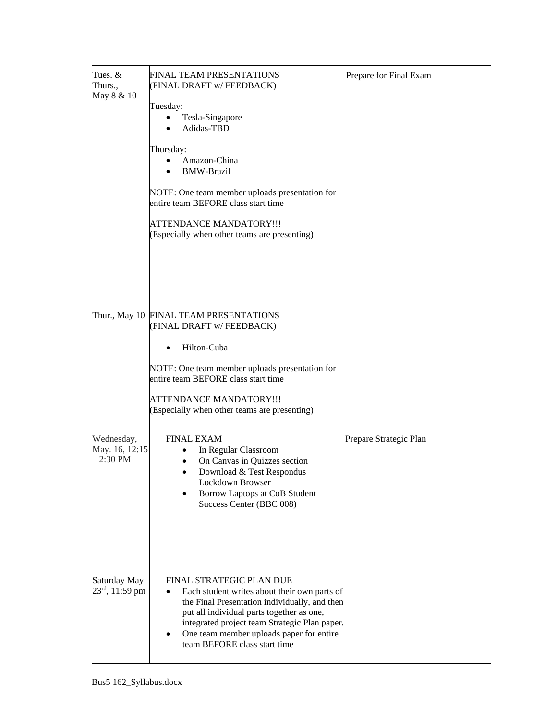| Tues. $&$<br>Thurs.,<br>May 8 & 10          | <b>FINAL TEAM PRESENTATIONS</b><br>(FINAL DRAFT w/ FEEDBACK)<br>Tuesday:<br>Tesla-Singapore<br>$\bullet$                                                                                                                                                                                            | Prepare for Final Exam |
|---------------------------------------------|-----------------------------------------------------------------------------------------------------------------------------------------------------------------------------------------------------------------------------------------------------------------------------------------------------|------------------------|
|                                             | Adidas-TBD<br>Thursday:                                                                                                                                                                                                                                                                             |                        |
|                                             | Amazon-China<br><b>BMW-Brazil</b>                                                                                                                                                                                                                                                                   |                        |
|                                             | NOTE: One team member uploads presentation for<br>entire team BEFORE class start time                                                                                                                                                                                                               |                        |
|                                             | <b>ATTENDANCE MANDATORY!!!</b><br>(Especially when other teams are presenting)                                                                                                                                                                                                                      |                        |
|                                             | Thur., May 10 FINAL TEAM PRESENTATIONS                                                                                                                                                                                                                                                              |                        |
|                                             | (FINAL DRAFT w/FEEDBACK)<br>Hilton-Cuba                                                                                                                                                                                                                                                             |                        |
|                                             | NOTE: One team member uploads presentation for<br>entire team BEFORE class start time                                                                                                                                                                                                               |                        |
|                                             | <b>ATTENDANCE MANDATORY!!!</b><br>(Especially when other teams are presenting)                                                                                                                                                                                                                      |                        |
| Wednesday,<br>May. 16, 12:15<br>$-2:30$ PM  | <b>FINAL EXAM</b><br>In Regular Classroom<br>On Canvas in Quizzes section<br>٠<br>Download & Test Respondus<br>Lockdown Browser<br>Borrow Laptops at CoB Student<br>Success Center (BBC 008)                                                                                                        | Prepare Strategic Plan |
| Saturday May<br>$23^{\text{rd}}$ , 11:59 pm | FINAL STRATEGIC PLAN DUE<br>Each student writes about their own parts of<br>the Final Presentation individually, and then<br>put all individual parts together as one,<br>integrated project team Strategic Plan paper.<br>One team member uploads paper for entire<br>team BEFORE class start time |                        |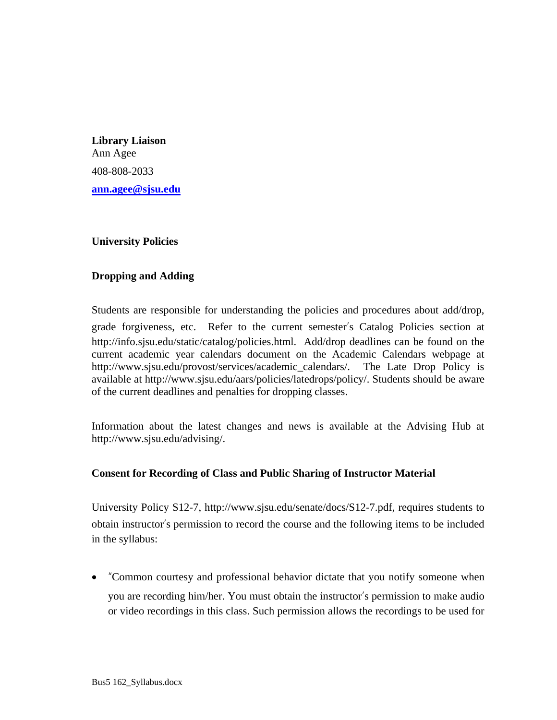**Library Liaison**  Ann Agee 408-808-2033 **[ann.agee@sjsu.edu](mailto:ann.agee@sjsu.edu)**

# **University Policies**

# **Dropping and Adding**

Students are responsible for understanding the policies and procedures about add/drop, grade forgiveness, etc. Refer to the current semester's Catalog Policies section at http://info.sjsu.edu/static/catalog/policies.html. Add/drop deadlines can be found on the current academic year calendars document on the Academic Calendars webpage at http://www.sjsu.edu/provost/services/academic\_calendars/. The Late Drop Policy is available at http://www.sjsu.edu/aars/policies/latedrops/policy/. Students should be aware of the current deadlines and penalties for dropping classes.

Information about the latest changes and news is available at the Advising Hub at http://www.sjsu.edu/advising/.

# **Consent for Recording of Class and Public Sharing of Instructor Material**

University Policy S12-7, http://www.sjsu.edu/senate/docs/S12-7.pdf, requires students to obtain instructor's permission to record the course and the following items to be included in the syllabus:

• "Common courtesy and professional behavior dictate that you notify someone when you are recording him/her. You must obtain the instructor's permission to make audio or video recordings in this class. Such permission allows the recordings to be used for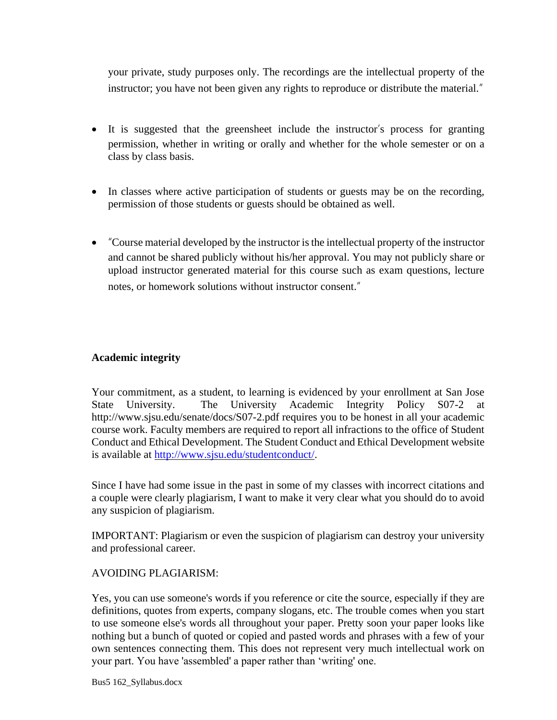your private, study purposes only. The recordings are the intellectual property of the instructor; you have not been given any rights to reproduce or distribute the material."

- It is suggested that the greensheet include the instructor's process for granting permission, whether in writing or orally and whether for the whole semester or on a class by class basis.
- In classes where active participation of students or guests may be on the recording, permission of those students or guests should be obtained as well.
- "Course material developed by the instructor is the intellectual property of the instructor and cannot be shared publicly without his/her approval. You may not publicly share or upload instructor generated material for this course such as exam questions, lecture notes, or homework solutions without instructor consent."

# **Academic integrity**

Your commitment, as a student, to learning is evidenced by your enrollment at San Jose State University. The University Academic Integrity Policy S07-2 at http://www.sjsu.edu/senate/docs/S07-2.pdf requires you to be honest in all your academic course work. Faculty members are required to report all infractions to the office of Student Conduct and Ethical Development. The Student Conduct and Ethical Development website is available at [http://www.sjsu.edu/studentconduct/.](http://www.sjsu.edu/studentconduct/)

Since I have had some issue in the past in some of my classes with incorrect citations and a couple were clearly plagiarism, I want to make it very clear what you should do to avoid any suspicion of plagiarism.

IMPORTANT: Plagiarism or even the suspicion of plagiarism can destroy your university and professional career.

# AVOIDING PLAGIARISM:

Yes, you can use someone's words if you reference or cite the source, especially if they are definitions, quotes from experts, company slogans, etc. The trouble comes when you start to use someone else's words all throughout your paper. Pretty soon your paper looks like nothing but a bunch of quoted or copied and pasted words and phrases with a few of your own sentences connecting them. This does not represent very much intellectual work on your part. You have 'assembled' a paper rather than 'writing' one.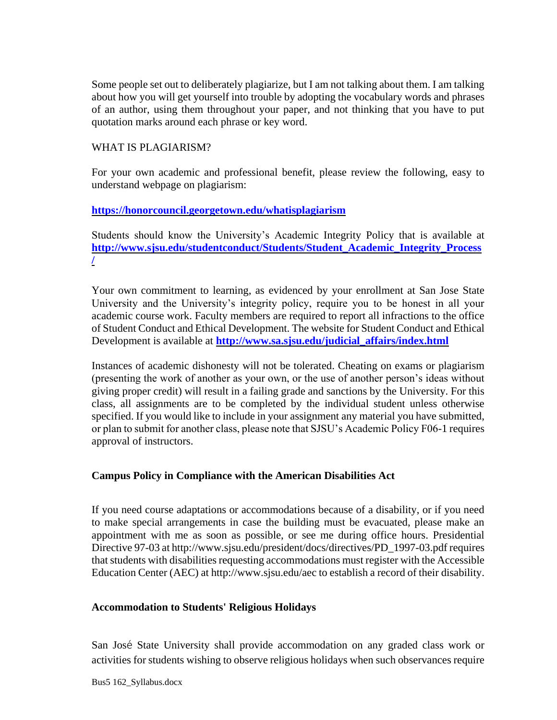Some people set out to deliberately plagiarize, but I am not talking about them. I am talking about how you will get yourself into trouble by adopting the vocabulary words and phrases of an author, using them throughout your paper, and not thinking that you have to put quotation marks around each phrase or key word.

# WHAT IS PLAGIARISM?

For your own academic and professional benefit, please review the following, easy to understand webpage on plagiarism:

# **<https://honorcouncil.georgetown.edu/whatisplagiarism>**

Students should know the University's Academic Integrity Policy that is available at **[http://www.sjsu.edu/studentconduct/Students/Student\\_Academic\\_Integrity\\_Process](http://www.sjsu.edu/studentconduct/Students/Student_Academic_Integrity_Process/) [/](http://www.sjsu.edu/studentconduct/Students/Student_Academic_Integrity_Process/)**

Your own commitment to learning, as evidenced by your enrollment at San Jose State University and the University's integrity policy, require you to be honest in all your academic course work. Faculty members are required to report all infractions to the office of Student Conduct and Ethical Development. The website for Student Conduct and Ethical Development is available at **[http://www.sa.sjsu.edu/judicial\\_affairs/index.html](http://www.sa.sjsu.edu/judicial_affairs/index.html)**

Instances of academic dishonesty will not be tolerated. Cheating on exams or plagiarism (presenting the work of another as your own, or the use of another person's ideas without giving proper credit) will result in a failing grade and sanctions by the University. For this class, all assignments are to be completed by the individual student unless otherwise specified. If you would like to include in your assignment any material you have submitted, or plan to submit for another class, please note that SJSU's Academic Policy F06-1 requires approval of instructors.

# **Campus Policy in Compliance with the American Disabilities Act**

If you need course adaptations or accommodations because of a disability, or if you need to make special arrangements in case the building must be evacuated, please make an appointment with me as soon as possible, or see me during office hours. Presidential Directive 97-03 at http://www.sjsu.edu/president/docs/directives/PD\_1997-03.pdf requires that students with disabilities requesting accommodations must register with the Accessible Education Center (AEC) at http://www.sjsu.edu/aec to establish a record of their disability.

# **Accommodation to Students' Religious Holidays**

San José State University shall provide accommodation on any graded class work or activities for students wishing to observe religious holidays when such observances require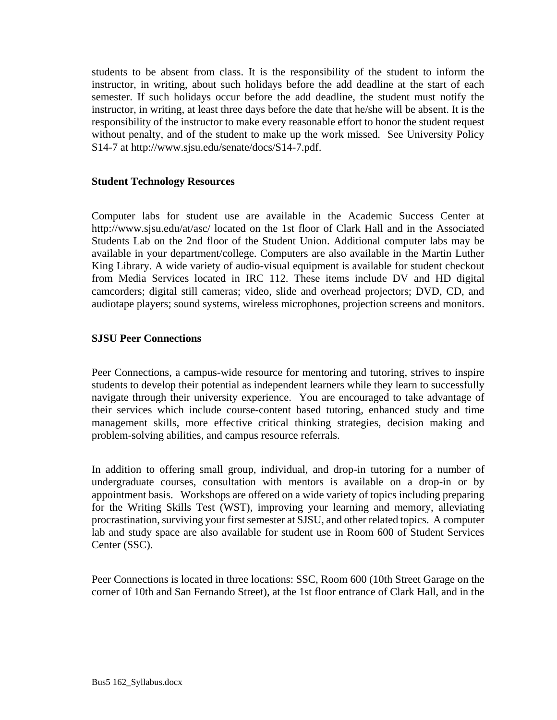students to be absent from class. It is the responsibility of the student to inform the instructor, in writing, about such holidays before the add deadline at the start of each semester. If such holidays occur before the add deadline, the student must notify the instructor, in writing, at least three days before the date that he/she will be absent. It is the responsibility of the instructor to make every reasonable effort to honor the student request without penalty, and of the student to make up the work missed. See University Policy S14-7 at http://www.sjsu.edu/senate/docs/S14-7.pdf.

## **Student Technology Resources**

Computer labs for student use are available in the Academic Success Center at http://www.sjsu.edu/at/asc/ located on the 1st floor of Clark Hall and in the Associated Students Lab on the 2nd floor of the Student Union. Additional computer labs may be available in your department/college. Computers are also available in the Martin Luther King Library. A wide variety of audio-visual equipment is available for student checkout from Media Services located in IRC 112. These items include DV and HD digital camcorders; digital still cameras; video, slide and overhead projectors; DVD, CD, and audiotape players; sound systems, wireless microphones, projection screens and monitors.

# **SJSU Peer Connections**

Peer Connections, a campus-wide resource for mentoring and tutoring, strives to inspire students to develop their potential as independent learners while they learn to successfully navigate through their university experience. You are encouraged to take advantage of their services which include course-content based tutoring, enhanced study and time management skills, more effective critical thinking strategies, decision making and problem-solving abilities, and campus resource referrals.

In addition to offering small group, individual, and drop-in tutoring for a number of undergraduate courses, consultation with mentors is available on a drop-in or by appointment basis. Workshops are offered on a wide variety of topics including preparing for the Writing Skills Test (WST), improving your learning and memory, alleviating procrastination, surviving your first semester at SJSU, and other related topics. A computer lab and study space are also available for student use in Room 600 of Student Services Center (SSC).

Peer Connections is located in three locations: SSC, Room 600 (10th Street Garage on the corner of 10th and San Fernando Street), at the 1st floor entrance of Clark Hall, and in the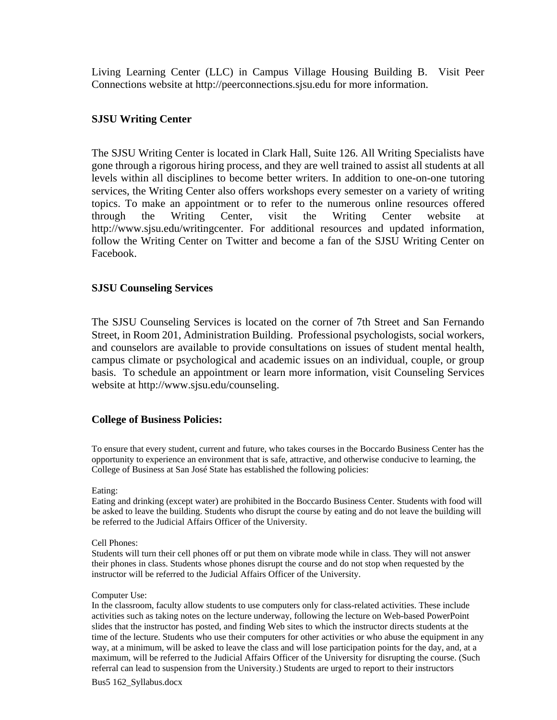Living Learning Center (LLC) in Campus Village Housing Building B. Visit Peer Connections website at http://peerconnections.sjsu.edu for more information.

## **SJSU Writing Center**

The SJSU Writing Center is located in Clark Hall, Suite 126. All Writing Specialists have gone through a rigorous hiring process, and they are well trained to assist all students at all levels within all disciplines to become better writers. In addition to one-on-one tutoring services, the Writing Center also offers workshops every semester on a variety of writing topics. To make an appointment or to refer to the numerous online resources offered through the Writing Center, visit the Writing Center website at http://www.sjsu.edu/writingcenter. For additional resources and updated information, follow the Writing Center on Twitter and become a fan of the SJSU Writing Center on Facebook.

### **SJSU Counseling Services**

The SJSU Counseling Services is located on the corner of 7th Street and San Fernando Street, in Room 201, Administration Building. Professional psychologists, social workers, and counselors are available to provide consultations on issues of student mental health, campus climate or psychological and academic issues on an individual, couple, or group basis. To schedule an appointment or learn more information, visit Counseling Services website at http://www.sjsu.edu/counseling.

### **College of Business Policies:**

To ensure that every student, current and future, who takes courses in the Boccardo Business Center has the opportunity to experience an environment that is safe, attractive, and otherwise conducive to learning, the College of Business at San José State has established the following policies:

#### Eating:

Eating and drinking (except water) are prohibited in the Boccardo Business Center. Students with food will be asked to leave the building. Students who disrupt the course by eating and do not leave the building will be referred to the Judicial Affairs Officer of the University.

#### Cell Phones:

Students will turn their cell phones off or put them on vibrate mode while in class. They will not answer their phones in class. Students whose phones disrupt the course and do not stop when requested by the instructor will be referred to the Judicial Affairs Officer of the University.

#### Computer Use:

In the classroom, faculty allow students to use computers only for class-related activities. These include activities such as taking notes on the lecture underway, following the lecture on Web-based PowerPoint slides that the instructor has posted, and finding Web sites to which the instructor directs students at the time of the lecture. Students who use their computers for other activities or who abuse the equipment in any way, at a minimum, will be asked to leave the class and will lose participation points for the day, and, at a maximum, will be referred to the Judicial Affairs Officer of the University for disrupting the course. (Such referral can lead to suspension from the University.) Students are urged to report to their instructors

Bus5 162\_Syllabus.docx